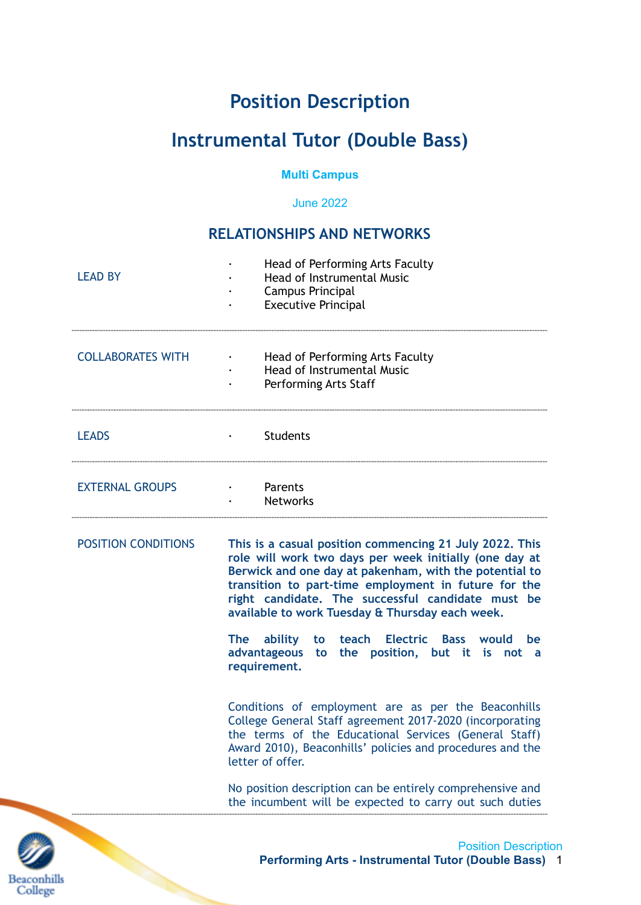# **Position Description**

# **Instrumental Tutor (Double Bass)**

#### **Multi Campus**

June 2022

## **RELATIONSHIPS AND NETWORKS**

| <b>LEAD BY</b>           | Head of Performing Arts Faculty<br>Head of Instrumental Music<br><b>Campus Principal</b><br><b>Executive Principal</b>                                                                                                                                                                                                                      |  |  |
|--------------------------|---------------------------------------------------------------------------------------------------------------------------------------------------------------------------------------------------------------------------------------------------------------------------------------------------------------------------------------------|--|--|
| <b>COLLABORATES WITH</b> | Head of Performing Arts Faculty<br><b>Head of Instrumental Music</b><br>Performing Arts Staff                                                                                                                                                                                                                                               |  |  |
| <b>LEADS</b>             | <b>Students</b>                                                                                                                                                                                                                                                                                                                             |  |  |
| <b>EXTERNAL GROUPS</b>   | · Parents<br><b>Networks</b>                                                                                                                                                                                                                                                                                                                |  |  |
| POSITION CONDITIONS      | This is a casual position commencing 21 July 2022. This<br>role will work two days per week initially (one day at<br>Berwick and one day at pakenham, with the potential to<br>transition to part-time employment in future for the<br>right candidate. The successful candidate must be<br>available to work Tuesday & Thursday each week. |  |  |
|                          | The ability<br>teach Electric Bass would<br>be<br>to<br>advantageous to the position, but it is not a<br>requirement.                                                                                                                                                                                                                       |  |  |
|                          | Conditions of employment are as per the Beaconhills<br>College General Staff agreement 2017-2020 (incorporating<br>the terms of the Educational Services (General Staff)<br>Award 2010), Beaconhills' policies and procedures and the<br>letter of offer.                                                                                   |  |  |
|                          | No position description can be entirely comprehensive and<br>the incumbent will be expected to carry out such duties                                                                                                                                                                                                                        |  |  |
|                          | <b>Position Description</b>                                                                                                                                                                                                                                                                                                                 |  |  |

**Beaconhills** College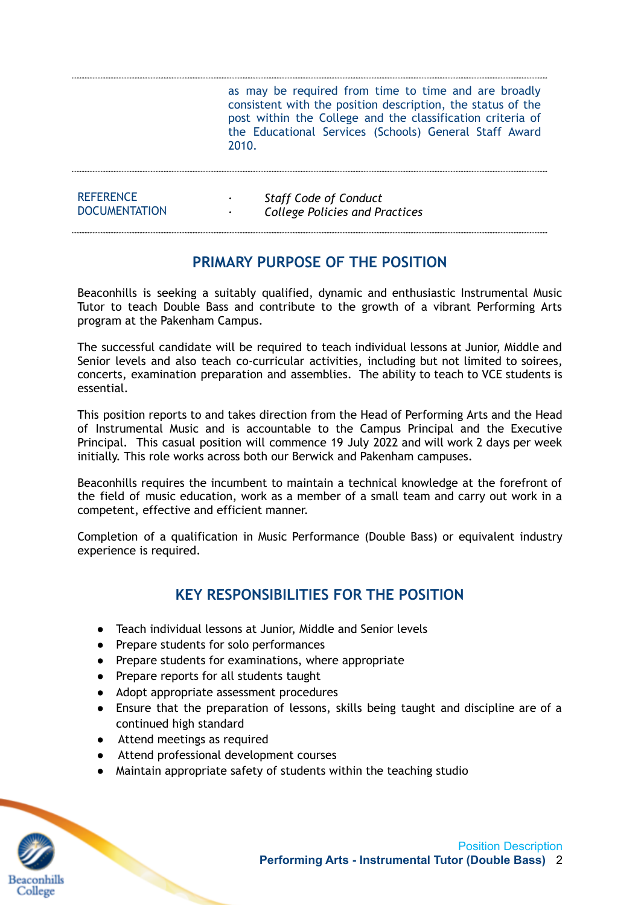as may be required from time to time and are broadly consistent with the position description, the status of the post within the College and the classification criteria of the Educational Services (Schools) General Staff Award 2010.

| <b>REFERENCE</b>     | <b>Staff Code of Conduct</b>          |
|----------------------|---------------------------------------|
| <b>DOCUMENTATION</b> | <b>College Policies and Practices</b> |

#### **PRIMARY PURPOSE OF THE POSITION**

Beaconhills is seeking a suitably qualified, dynamic and enthusiastic Instrumental Music Tutor to teach Double Bass and contribute to the growth of a vibrant Performing Arts program at the Pakenham Campus.

The successful candidate will be required to teach individual lessons at Junior, Middle and Senior levels and also teach co-curricular activities, including but not limited to soirees, concerts, examination preparation and assemblies. The ability to teach to VCE students is essential.

This position reports to and takes direction from the Head of Performing Arts and the Head of Instrumental Music and is accountable to the Campus Principal and the Executive Principal. This casual position will commence 19 July 2022 and will work 2 days per week initially. This role works across both our Berwick and Pakenham campuses.

Beaconhills requires the incumbent to maintain a technical knowledge at the forefront of the field of music education, work as a member of a small team and carry out work in a competent, effective and efficient manner.

Completion of a qualification in Music Performance (Double Bass) or equivalent industry experience is required.

#### **KEY RESPONSIBILITIES FOR THE POSITION**

- Teach individual lessons at Junior, Middle and Senior levels
- Prepare students for solo performances
- Prepare students for examinations, where appropriate
- Prepare reports for all students taught
- Adopt appropriate assessment procedures
- Ensure that the preparation of lessons, skills being taught and discipline are of a continued high standard
- Attend meetings as required
- Attend professional development courses
- Maintain appropriate safety of students within the teaching studio

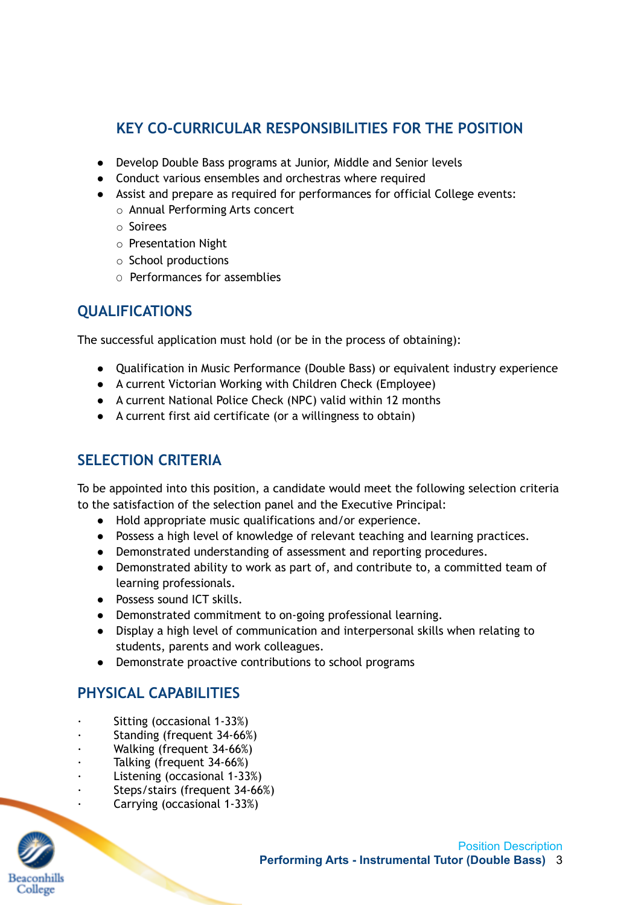## **KEY CO-CURRICULAR RESPONSIBILITIES FOR THE POSITION**

- Develop Double Bass programs at Junior, Middle and Senior levels
- Conduct various ensembles and orchestras where required
- Assist and prepare as required for performances for official College events:
	- o Annual Performing Arts concert
	- o Soirees
	- o Presentation Night
	- o School productions
	- O Performances for assemblies

## **QUALIFICATIONS**

The successful application must hold (or be in the process of obtaining):

- Qualification in Music Performance (Double Bass) or equivalent industry experience
- A current Victorian Working with Children Check (Employee)
- A current National Police Check (NPC) valid within 12 months
- A current first aid certificate (or a willingness to obtain)

### **SELECTION CRITERIA**

To be appointed into this position, a candidate would meet the following selection criteria to the satisfaction of the selection panel and the Executive Principal:

- Hold appropriate music qualifications and/or experience.
- Possess a high level of knowledge of relevant teaching and learning practices.
- Demonstrated understanding of assessment and reporting procedures.
- Demonstrated ability to work as part of, and contribute to, a committed team of learning professionals.
- Possess sound ICT skills.
- Demonstrated commitment to on-going professional learning.
- Display a high level of communication and interpersonal skills when relating to students, parents and work colleagues.
- Demonstrate proactive contributions to school programs

## **PHYSICAL CAPABILITIES**

- · Sitting (occasional 1-33%)
- Standing (frequent 34-66%)
- Walking (frequent 34-66%)
- Talking (frequent 34-66%)
- Listening (occasional 1-33%)
- Steps/stairs (frequent 34-66%)
- · Carrying (occasional 1-33%)